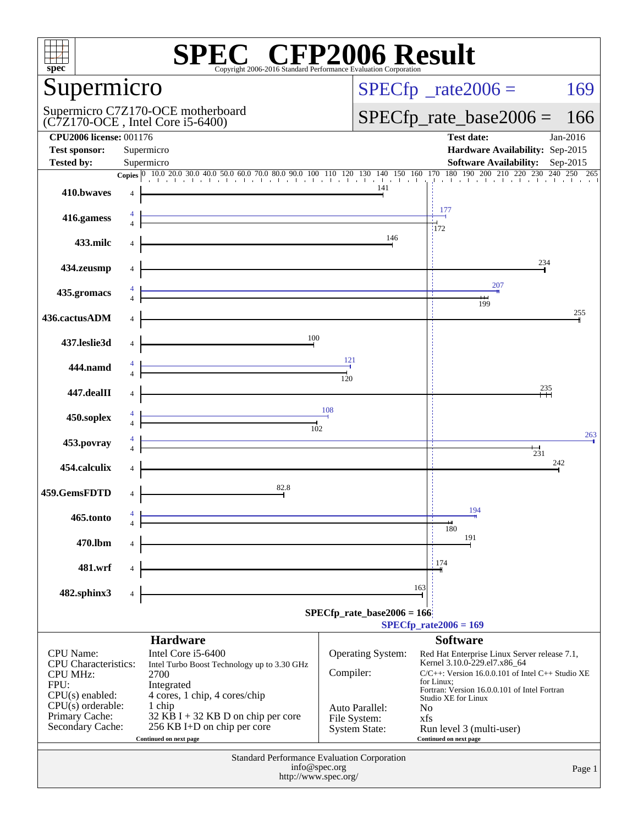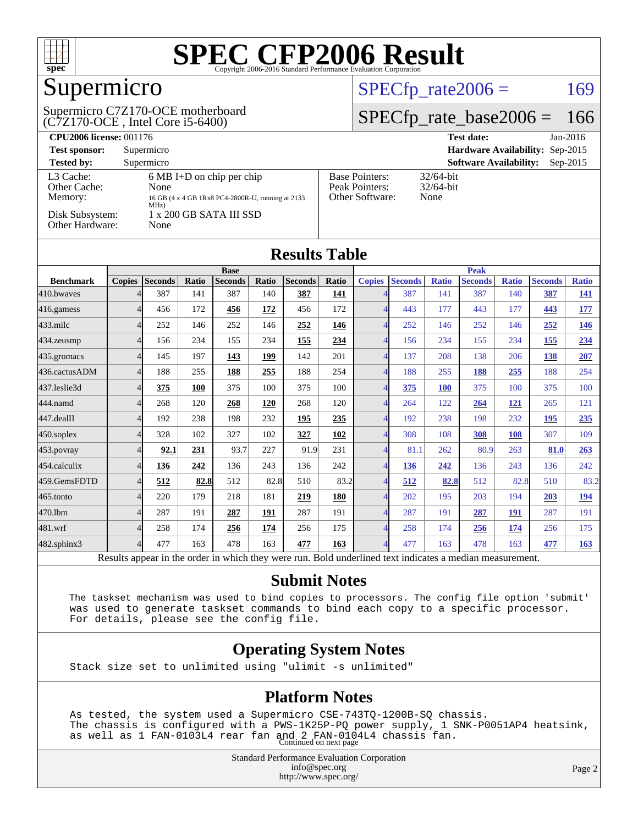

## Supermicro

(C7Z170-OCE , Intel Core i5-6400) Supermicro C7Z170-OCE motherboard  $SPECfp_rate2006 = 169$  $SPECfp_rate2006 = 169$ 

#### [SPECfp\\_rate\\_base2006 =](http://www.spec.org/auto/cpu2006/Docs/result-fields.html#SPECfpratebase2006) 166

| <b>CPU2006 license: 001176</b>       |                                                                                                          |                                                            | <b>Test date:</b><br>$Jan-2016$             |
|--------------------------------------|----------------------------------------------------------------------------------------------------------|------------------------------------------------------------|---------------------------------------------|
| <b>Test sponsor:</b>                 | Supermicro                                                                                               |                                                            | Hardware Availability: Sep-2015             |
| <b>Tested by:</b>                    | Supermicro                                                                                               |                                                            | <b>Software Availability:</b><br>$Sep-2015$ |
| L3 Cache:<br>Other Cache:<br>Memory: | $6 \text{ MB I+D}$ on chip per chip<br>None<br>16 GB (4 x 4 GB 1Rx8 PC4-2800R-U, running at 2133<br>MHz) | <b>Base Pointers:</b><br>Peak Pointers:<br>Other Software: | $32/64$ -bit<br>$32/64$ -bit<br>None        |
| Disk Subsystem:<br>Other Hardware:   | $1 \times 200$ GB SATA III SSD<br>None                                                                   |                                                            |                                             |

| <b>Results Table</b> |                |                |       |                |       |                |             |                |                |              |                |              |                |              |
|----------------------|----------------|----------------|-------|----------------|-------|----------------|-------------|----------------|----------------|--------------|----------------|--------------|----------------|--------------|
|                      |                |                |       | <b>Base</b>    |       |                |             |                |                |              | <b>Peak</b>    |              |                |              |
| <b>Benchmark</b>     | <b>Copies</b>  | <b>Seconds</b> | Ratio | <b>Seconds</b> | Ratio | <b>Seconds</b> | Ratio       | <b>Copies</b>  | <b>Seconds</b> | <b>Ratio</b> | <b>Seconds</b> | <b>Ratio</b> | <b>Seconds</b> | <b>Ratio</b> |
| 410.bwayes           |                | 387            | 141   | 387            | 140   | 387            | <u> 141</u> |                | 387            | 141          | 387            | 140          | 387            | <u>141</u>   |
| 416.gamess           | 4              | 456            | 172   | 456            | 172   | 456            | 172         |                | 443            | 177          | 443            | 177          | 443            | <u>177</u>   |
| $433$ .milc          | 4              | 252            | 146   | 252            | 146   | 252            | 146         |                | 252            | 146          | 252            | 146          | 252            | <u>146</u>   |
| 434.zeusmp           | 4              | 156            | 234   | 155            | 234   | 155            | 234         | Δ              | 156            | 234          | 155            | 234          | 155            | 234          |
| 435.gromacs          | 4              | 145            | 197   | 143            | 199   | 142            | 201         | 4              | 137            | 208          | 138            | 206          | 138            | 207          |
| 436.cactusADM        | 4              | 188            | 255   | 188            | 255   | 188            | 254         | 4              | 188            | 255          | 188            | 255          | 188            | 254          |
| 437.leslie3d         | 4              | 375            | 100   | 375            | 100   | 375            | 100         |                | 375            | <b>100</b>   | 375            | 100          | 375            | 100          |
| 444.namd             | 4              | 268            | 120   | 268            | 120   | 268            | 120         |                | 264            | 122          | 264            | <b>121</b>   | 265            | 121          |
| 447.dealII           | $\overline{4}$ | 192            | 238   | 198            | 232   | 195            | 235         | $\Lambda$      | 192            | 238          | 198            | 232          | 195            | 235          |
| 450.soplex           | 4              | 328            | 102   | 327            | 102   | 327            | 102         | 4              | 308            | 108          | 308            | 108          | 307            | 109          |
| $453$ .povray        | 4              | 92.1           | 231   | 93.7           | 227   | 91.9           | 231         | $\overline{4}$ | 81.1           | 262          | 80.9           | 263          | 81.0           | 263          |
| 454.calculix         | 4              | 136            | 242   | 136            | 243   | 136            | 242         |                | 136            | 242          | 136            | 243          | 136            | 242          |
| 459.GemsFDTD         | 4              | 512            | 82.8  | 512            | 82.8  | 510            | 83.2        |                | 512            | 82.8         | 512            | 82.8         | 510            | 83.2         |
| 465.tonto            | 4              | 220            | 179   | 218            | 181   | 219            | 180         | $\Lambda$      | 202            | 195          | 203            | 194          | 203            | <u>194</u>   |
| 470.1bm              | 4              | 287            | 191   | 287            | 191   | 287            | 191         | 4              | 287            | 191          | 287            | 191          | 287            | 191          |
| 481.wrf              | 4              | 258            | 174   | 256            | 174   | 256            | 175         | 4              | 258            | 174          | 256            | 174          | 256            | 175          |
| 482.sphinx3          | 4              | 477            | 163   | 478            | 163   | 477            | 163         | 4              | 477            | 163          | 478            | 163          | 477            | 163          |

Results appear in the [order in which they were run.](http://www.spec.org/auto/cpu2006/Docs/result-fields.html#RunOrder) Bold underlined text [indicates a median measurement.](http://www.spec.org/auto/cpu2006/Docs/result-fields.html#Median)

#### **[Submit Notes](http://www.spec.org/auto/cpu2006/Docs/result-fields.html#SubmitNotes)**

 The taskset mechanism was used to bind copies to processors. The config file option 'submit' was used to generate taskset commands to bind each copy to a specific processor. For details, please see the config file.

#### **[Operating System Notes](http://www.spec.org/auto/cpu2006/Docs/result-fields.html#OperatingSystemNotes)**

Stack size set to unlimited using "ulimit -s unlimited"

#### **[Platform Notes](http://www.spec.org/auto/cpu2006/Docs/result-fields.html#PlatformNotes)**

 As tested, the system used a Supermicro CSE-743TQ-1200B-SQ chassis. The chassis is configured with a PWS-1K25P-PQ power supply, 1 SNK-P0051AP4 heatsink, as well as 1 FAN-0103L4 rear fan and 2 FAN-0104L4 chassis fan. Continued on next page

> Standard Performance Evaluation Corporation [info@spec.org](mailto:info@spec.org) <http://www.spec.org/>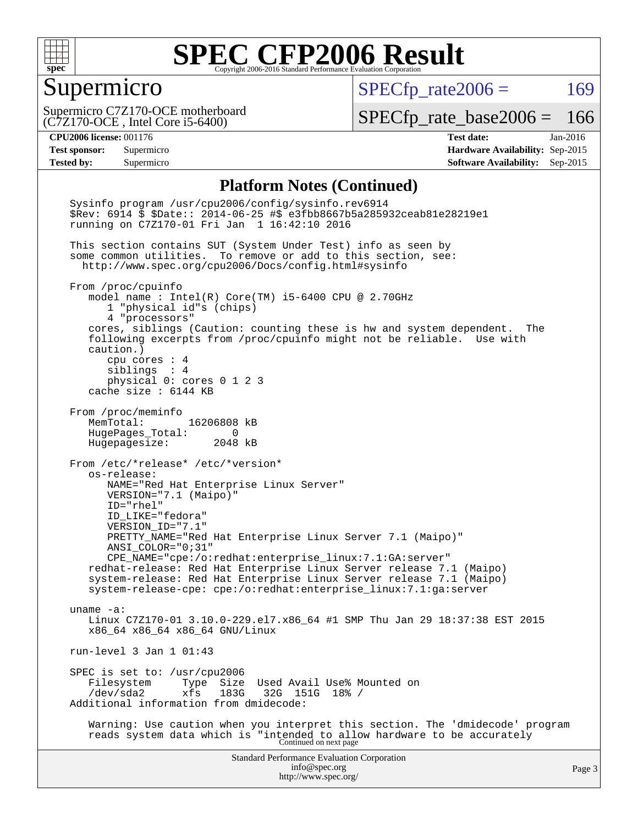

#### Supermicro

 $SPECfp_rate2006 = 169$  $SPECfp_rate2006 = 169$ 

(C7Z170-OCE , Intel Core i5-6400) Supermicro C7Z170-OCE motherboard

[SPECfp\\_rate\\_base2006 =](http://www.spec.org/auto/cpu2006/Docs/result-fields.html#SPECfpratebase2006) 166

**[CPU2006 license:](http://www.spec.org/auto/cpu2006/Docs/result-fields.html#CPU2006license)** 001176 **[Test date:](http://www.spec.org/auto/cpu2006/Docs/result-fields.html#Testdate)** Jan-2016 **[Test sponsor:](http://www.spec.org/auto/cpu2006/Docs/result-fields.html#Testsponsor)** Supermicro **[Hardware Availability:](http://www.spec.org/auto/cpu2006/Docs/result-fields.html#HardwareAvailability)** Sep-2015 **[Tested by:](http://www.spec.org/auto/cpu2006/Docs/result-fields.html#Testedby)** Supermicro **Supermicro [Software Availability:](http://www.spec.org/auto/cpu2006/Docs/result-fields.html#SoftwareAvailability)** Sep-2015

#### **[Platform Notes \(Continued\)](http://www.spec.org/auto/cpu2006/Docs/result-fields.html#PlatformNotes)**

Standard Performance Evaluation Corporation [info@spec.org](mailto:info@spec.org) <http://www.spec.org/> Page 3 Sysinfo program /usr/cpu2006/config/sysinfo.rev6914 \$Rev: 6914 \$ \$Date:: 2014-06-25 #\$ e3fbb8667b5a285932ceab81e28219e1 running on C7Z170-01 Fri Jan 1 16:42:10 2016 This section contains SUT (System Under Test) info as seen by some common utilities. To remove or add to this section, see: <http://www.spec.org/cpu2006/Docs/config.html#sysinfo> From /proc/cpuinfo model name : Intel(R) Core(TM) i5-6400 CPU @ 2.70GHz 1 "physical id"s (chips) 4 "processors" cores, siblings (Caution: counting these is hw and system dependent. The following excerpts from /proc/cpuinfo might not be reliable. Use with caution.) cpu cores : 4 siblings : 4 physical 0: cores 0 1 2 3 cache size : 6144 KB From /proc/meminfo MemTotal: 16206808 kB HugePages\_Total: 0 Hugepagesize: 2048 kB From /etc/\*release\* /etc/\*version\* os-release: NAME="Red Hat Enterprise Linux Server" VERSION="7.1 (Maipo)" ID="rhel" ID\_LIKE="fedora" VERSION\_ID="7.1" PRETTY\_NAME="Red Hat Enterprise Linux Server 7.1 (Maipo)" ANSI\_COLOR="0;31" CPE\_NAME="cpe:/o:redhat:enterprise\_linux:7.1:GA:server" redhat-release: Red Hat Enterprise Linux Server release 7.1 (Maipo) system-release: Red Hat Enterprise Linux Server release 7.1 (Maipo) system-release-cpe: cpe:/o:redhat:enterprise\_linux:7.1:ga:server uname -a: Linux C7Z170-01 3.10.0-229.el7.x86\_64 #1 SMP Thu Jan 29 18:37:38 EST 2015 x86\_64 x86\_64 x86\_64 GNU/Linux run-level 3 Jan 1 01:43 SPEC is set to: /usr/cpu2006<br>Filesystem Type Size Filesystem Type Size Used Avail Use% Mounted on<br>/dev/sda2 xfs 183G 32G 151G 18% / /dev/sda2 xfs 183G 32G 151G 18% / Additional information from dmidecode: Warning: Use caution when you interpret this section. The 'dmidecode' program reads system data which is "intended to allow hardware to be accurately Continued on next page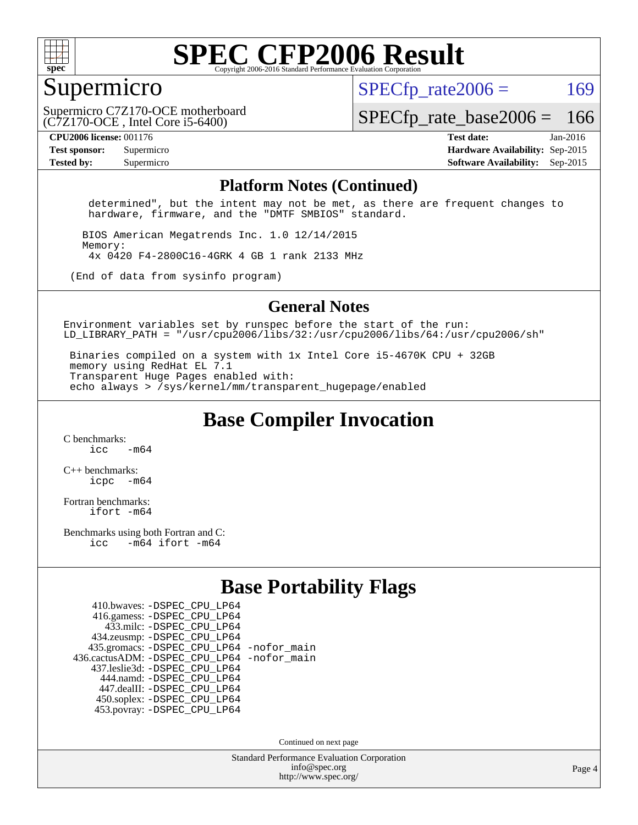

#### Supermicro

 $SPECTp\_rate2006 = 169$ 

(C7Z170-OCE , Intel Core i5-6400) Supermicro C7Z170-OCE motherboard

[SPECfp\\_rate\\_base2006 =](http://www.spec.org/auto/cpu2006/Docs/result-fields.html#SPECfpratebase2006) 166

**[CPU2006 license:](http://www.spec.org/auto/cpu2006/Docs/result-fields.html#CPU2006license)** 001176 **[Test date:](http://www.spec.org/auto/cpu2006/Docs/result-fields.html#Testdate)** Jan-2016 **[Test sponsor:](http://www.spec.org/auto/cpu2006/Docs/result-fields.html#Testsponsor)** Supermicro **[Hardware Availability:](http://www.spec.org/auto/cpu2006/Docs/result-fields.html#HardwareAvailability)** Sep-2015 **[Tested by:](http://www.spec.org/auto/cpu2006/Docs/result-fields.html#Testedby)** Supermicro **Supermicro [Software Availability:](http://www.spec.org/auto/cpu2006/Docs/result-fields.html#SoftwareAvailability)** Sep-2015

#### **[Platform Notes \(Continued\)](http://www.spec.org/auto/cpu2006/Docs/result-fields.html#PlatformNotes)**

 determined", but the intent may not be met, as there are frequent changes to hardware, firmware, and the "DMTF SMBIOS" standard.

 BIOS American Megatrends Inc. 1.0 12/14/2015 Memory: 4x 0420 F4-2800C16-4GRK 4 GB 1 rank 2133 MHz

(End of data from sysinfo program)

#### **[General Notes](http://www.spec.org/auto/cpu2006/Docs/result-fields.html#GeneralNotes)**

Environment variables set by runspec before the start of the run: LD LIBRARY PATH = "/usr/cpu2006/libs/32:/usr/cpu2006/libs/64:/usr/cpu2006/sh"

 Binaries compiled on a system with 1x Intel Core i5-4670K CPU + 32GB memory using RedHat EL 7.1 Transparent Huge Pages enabled with: echo always > /sys/kernel/mm/transparent\_hugepage/enabled

**[Base Compiler Invocation](http://www.spec.org/auto/cpu2006/Docs/result-fields.html#BaseCompilerInvocation)**

[C benchmarks](http://www.spec.org/auto/cpu2006/Docs/result-fields.html#Cbenchmarks):  $\frac{1}{2}$  cc  $-$  m64

[C++ benchmarks:](http://www.spec.org/auto/cpu2006/Docs/result-fields.html#CXXbenchmarks) [icpc -m64](http://www.spec.org/cpu2006/results/res2016q1/cpu2006-20160106-38545.flags.html#user_CXXbase_intel_icpc_64bit_bedb90c1146cab66620883ef4f41a67e)

[Fortran benchmarks](http://www.spec.org/auto/cpu2006/Docs/result-fields.html#Fortranbenchmarks): [ifort -m64](http://www.spec.org/cpu2006/results/res2016q1/cpu2006-20160106-38545.flags.html#user_FCbase_intel_ifort_64bit_ee9d0fb25645d0210d97eb0527dcc06e)

[Benchmarks using both Fortran and C](http://www.spec.org/auto/cpu2006/Docs/result-fields.html#BenchmarksusingbothFortranandC): [icc -m64](http://www.spec.org/cpu2006/results/res2016q1/cpu2006-20160106-38545.flags.html#user_CC_FCbase_intel_icc_64bit_0b7121f5ab7cfabee23d88897260401c) [ifort -m64](http://www.spec.org/cpu2006/results/res2016q1/cpu2006-20160106-38545.flags.html#user_CC_FCbase_intel_ifort_64bit_ee9d0fb25645d0210d97eb0527dcc06e)

#### **[Base Portability Flags](http://www.spec.org/auto/cpu2006/Docs/result-fields.html#BasePortabilityFlags)**

| 410.bwaves: - DSPEC CPU LP64                 |  |
|----------------------------------------------|--|
| 416.gamess: -DSPEC_CPU_LP64                  |  |
| 433.milc: -DSPEC CPU LP64                    |  |
| 434.zeusmp: -DSPEC_CPU_LP64                  |  |
| 435.gromacs: -DSPEC_CPU_LP64 -nofor_main     |  |
| 436.cactusADM: - DSPEC CPU LP64 - nofor main |  |
| 437.leslie3d: -DSPEC_CPU_LP64                |  |
| 444.namd: - DSPEC CPU LP64                   |  |
| 447.dealII: -DSPEC CPU LP64                  |  |
| 450.soplex: -DSPEC_CPU_LP64                  |  |
| 453.povray: -DSPEC CPU LP64                  |  |

Continued on next page

Standard Performance Evaluation Corporation [info@spec.org](mailto:info@spec.org) <http://www.spec.org/>

Page 4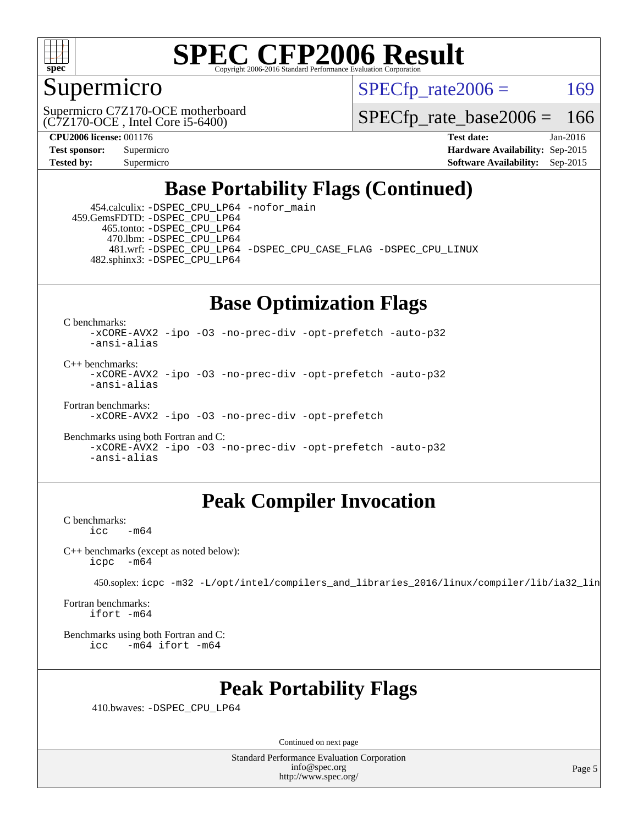

#### Supermicro

 $SPECTp\_rate2006 = 169$ 

(C7Z170-OCE , Intel Core i5-6400) Supermicro C7Z170-OCE motherboard

[SPECfp\\_rate\\_base2006 =](http://www.spec.org/auto/cpu2006/Docs/result-fields.html#SPECfpratebase2006) 166

**[CPU2006 license:](http://www.spec.org/auto/cpu2006/Docs/result-fields.html#CPU2006license)** 001176 **[Test date:](http://www.spec.org/auto/cpu2006/Docs/result-fields.html#Testdate)** Jan-2016 **[Test sponsor:](http://www.spec.org/auto/cpu2006/Docs/result-fields.html#Testsponsor)** Supermicro **[Hardware Availability:](http://www.spec.org/auto/cpu2006/Docs/result-fields.html#HardwareAvailability)** Sep-2015 **[Tested by:](http://www.spec.org/auto/cpu2006/Docs/result-fields.html#Testedby)** Supermicro **Supermicro [Software Availability:](http://www.spec.org/auto/cpu2006/Docs/result-fields.html#SoftwareAvailability)** Sep-2015

### **[Base Portability Flags \(Continued\)](http://www.spec.org/auto/cpu2006/Docs/result-fields.html#BasePortabilityFlags)**

 454.calculix: [-DSPEC\\_CPU\\_LP64](http://www.spec.org/cpu2006/results/res2016q1/cpu2006-20160106-38545.flags.html#suite_basePORTABILITY454_calculix_DSPEC_CPU_LP64) [-nofor\\_main](http://www.spec.org/cpu2006/results/res2016q1/cpu2006-20160106-38545.flags.html#user_baseLDPORTABILITY454_calculix_f-nofor_main) 459.GemsFDTD: [-DSPEC\\_CPU\\_LP64](http://www.spec.org/cpu2006/results/res2016q1/cpu2006-20160106-38545.flags.html#suite_basePORTABILITY459_GemsFDTD_DSPEC_CPU_LP64) 465.tonto: [-DSPEC\\_CPU\\_LP64](http://www.spec.org/cpu2006/results/res2016q1/cpu2006-20160106-38545.flags.html#suite_basePORTABILITY465_tonto_DSPEC_CPU_LP64) 470.lbm: [-DSPEC\\_CPU\\_LP64](http://www.spec.org/cpu2006/results/res2016q1/cpu2006-20160106-38545.flags.html#suite_basePORTABILITY470_lbm_DSPEC_CPU_LP64) 481.wrf: [-DSPEC\\_CPU\\_LP64](http://www.spec.org/cpu2006/results/res2016q1/cpu2006-20160106-38545.flags.html#suite_basePORTABILITY481_wrf_DSPEC_CPU_LP64) [-DSPEC\\_CPU\\_CASE\\_FLAG](http://www.spec.org/cpu2006/results/res2016q1/cpu2006-20160106-38545.flags.html#b481.wrf_baseCPORTABILITY_DSPEC_CPU_CASE_FLAG) [-DSPEC\\_CPU\\_LINUX](http://www.spec.org/cpu2006/results/res2016q1/cpu2006-20160106-38545.flags.html#b481.wrf_baseCPORTABILITY_DSPEC_CPU_LINUX) 482.sphinx3: [-DSPEC\\_CPU\\_LP64](http://www.spec.org/cpu2006/results/res2016q1/cpu2006-20160106-38545.flags.html#suite_basePORTABILITY482_sphinx3_DSPEC_CPU_LP64)

## **[Base Optimization Flags](http://www.spec.org/auto/cpu2006/Docs/result-fields.html#BaseOptimizationFlags)**

[C benchmarks](http://www.spec.org/auto/cpu2006/Docs/result-fields.html#Cbenchmarks):

[-xCORE-AVX2](http://www.spec.org/cpu2006/results/res2016q1/cpu2006-20160106-38545.flags.html#user_CCbase_f-xAVX2_5f5fc0cbe2c9f62c816d3e45806c70d7) [-ipo](http://www.spec.org/cpu2006/results/res2016q1/cpu2006-20160106-38545.flags.html#user_CCbase_f-ipo) [-O3](http://www.spec.org/cpu2006/results/res2016q1/cpu2006-20160106-38545.flags.html#user_CCbase_f-O3) [-no-prec-div](http://www.spec.org/cpu2006/results/res2016q1/cpu2006-20160106-38545.flags.html#user_CCbase_f-no-prec-div) [-opt-prefetch](http://www.spec.org/cpu2006/results/res2016q1/cpu2006-20160106-38545.flags.html#user_CCbase_f-opt-prefetch) [-auto-p32](http://www.spec.org/cpu2006/results/res2016q1/cpu2006-20160106-38545.flags.html#user_CCbase_f-auto-p32) [-ansi-alias](http://www.spec.org/cpu2006/results/res2016q1/cpu2006-20160106-38545.flags.html#user_CCbase_f-ansi-alias)

 $C_{++}$  benchmarks: [-xCORE-AVX2](http://www.spec.org/cpu2006/results/res2016q1/cpu2006-20160106-38545.flags.html#user_CXXbase_f-xAVX2_5f5fc0cbe2c9f62c816d3e45806c70d7) [-ipo](http://www.spec.org/cpu2006/results/res2016q1/cpu2006-20160106-38545.flags.html#user_CXXbase_f-ipo) [-O3](http://www.spec.org/cpu2006/results/res2016q1/cpu2006-20160106-38545.flags.html#user_CXXbase_f-O3) [-no-prec-div](http://www.spec.org/cpu2006/results/res2016q1/cpu2006-20160106-38545.flags.html#user_CXXbase_f-no-prec-div) [-opt-prefetch](http://www.spec.org/cpu2006/results/res2016q1/cpu2006-20160106-38545.flags.html#user_CXXbase_f-opt-prefetch) [-auto-p32](http://www.spec.org/cpu2006/results/res2016q1/cpu2006-20160106-38545.flags.html#user_CXXbase_f-auto-p32) [-ansi-alias](http://www.spec.org/cpu2006/results/res2016q1/cpu2006-20160106-38545.flags.html#user_CXXbase_f-ansi-alias)

[Fortran benchmarks](http://www.spec.org/auto/cpu2006/Docs/result-fields.html#Fortranbenchmarks):

[-xCORE-AVX2](http://www.spec.org/cpu2006/results/res2016q1/cpu2006-20160106-38545.flags.html#user_FCbase_f-xAVX2_5f5fc0cbe2c9f62c816d3e45806c70d7) [-ipo](http://www.spec.org/cpu2006/results/res2016q1/cpu2006-20160106-38545.flags.html#user_FCbase_f-ipo) [-O3](http://www.spec.org/cpu2006/results/res2016q1/cpu2006-20160106-38545.flags.html#user_FCbase_f-O3) [-no-prec-div](http://www.spec.org/cpu2006/results/res2016q1/cpu2006-20160106-38545.flags.html#user_FCbase_f-no-prec-div) [-opt-prefetch](http://www.spec.org/cpu2006/results/res2016q1/cpu2006-20160106-38545.flags.html#user_FCbase_f-opt-prefetch)

[Benchmarks using both Fortran and C](http://www.spec.org/auto/cpu2006/Docs/result-fields.html#BenchmarksusingbothFortranandC): [-xCORE-AVX2](http://www.spec.org/cpu2006/results/res2016q1/cpu2006-20160106-38545.flags.html#user_CC_FCbase_f-xAVX2_5f5fc0cbe2c9f62c816d3e45806c70d7) [-ipo](http://www.spec.org/cpu2006/results/res2016q1/cpu2006-20160106-38545.flags.html#user_CC_FCbase_f-ipo) [-O3](http://www.spec.org/cpu2006/results/res2016q1/cpu2006-20160106-38545.flags.html#user_CC_FCbase_f-O3) [-no-prec-div](http://www.spec.org/cpu2006/results/res2016q1/cpu2006-20160106-38545.flags.html#user_CC_FCbase_f-no-prec-div) [-opt-prefetch](http://www.spec.org/cpu2006/results/res2016q1/cpu2006-20160106-38545.flags.html#user_CC_FCbase_f-opt-prefetch) [-auto-p32](http://www.spec.org/cpu2006/results/res2016q1/cpu2006-20160106-38545.flags.html#user_CC_FCbase_f-auto-p32) [-ansi-alias](http://www.spec.org/cpu2006/results/res2016q1/cpu2006-20160106-38545.flags.html#user_CC_FCbase_f-ansi-alias)

### **[Peak Compiler Invocation](http://www.spec.org/auto/cpu2006/Docs/result-fields.html#PeakCompilerInvocation)**

[C benchmarks](http://www.spec.org/auto/cpu2006/Docs/result-fields.html#Cbenchmarks):  $-m64$ 

[C++ benchmarks \(except as noted below\):](http://www.spec.org/auto/cpu2006/Docs/result-fields.html#CXXbenchmarksexceptasnotedbelow) [icpc -m64](http://www.spec.org/cpu2006/results/res2016q1/cpu2006-20160106-38545.flags.html#user_CXXpeak_intel_icpc_64bit_bedb90c1146cab66620883ef4f41a67e)

450.soplex: [icpc -m32 -L/opt/intel/compilers\\_and\\_libraries\\_2016/linux/compiler/lib/ia32\\_lin](http://www.spec.org/cpu2006/results/res2016q1/cpu2006-20160106-38545.flags.html#user_peakCXXLD450_soplex_intel_icpc_b4f50a394bdb4597aa5879c16bc3f5c5)

[Fortran benchmarks](http://www.spec.org/auto/cpu2006/Docs/result-fields.html#Fortranbenchmarks): [ifort -m64](http://www.spec.org/cpu2006/results/res2016q1/cpu2006-20160106-38545.flags.html#user_FCpeak_intel_ifort_64bit_ee9d0fb25645d0210d97eb0527dcc06e)

[Benchmarks using both Fortran and C](http://www.spec.org/auto/cpu2006/Docs/result-fields.html#BenchmarksusingbothFortranandC): [icc -m64](http://www.spec.org/cpu2006/results/res2016q1/cpu2006-20160106-38545.flags.html#user_CC_FCpeak_intel_icc_64bit_0b7121f5ab7cfabee23d88897260401c) [ifort -m64](http://www.spec.org/cpu2006/results/res2016q1/cpu2006-20160106-38545.flags.html#user_CC_FCpeak_intel_ifort_64bit_ee9d0fb25645d0210d97eb0527dcc06e)

### **[Peak Portability Flags](http://www.spec.org/auto/cpu2006/Docs/result-fields.html#PeakPortabilityFlags)**

410.bwaves: [-DSPEC\\_CPU\\_LP64](http://www.spec.org/cpu2006/results/res2016q1/cpu2006-20160106-38545.flags.html#suite_peakPORTABILITY410_bwaves_DSPEC_CPU_LP64)

Continued on next page

Standard Performance Evaluation Corporation [info@spec.org](mailto:info@spec.org) <http://www.spec.org/>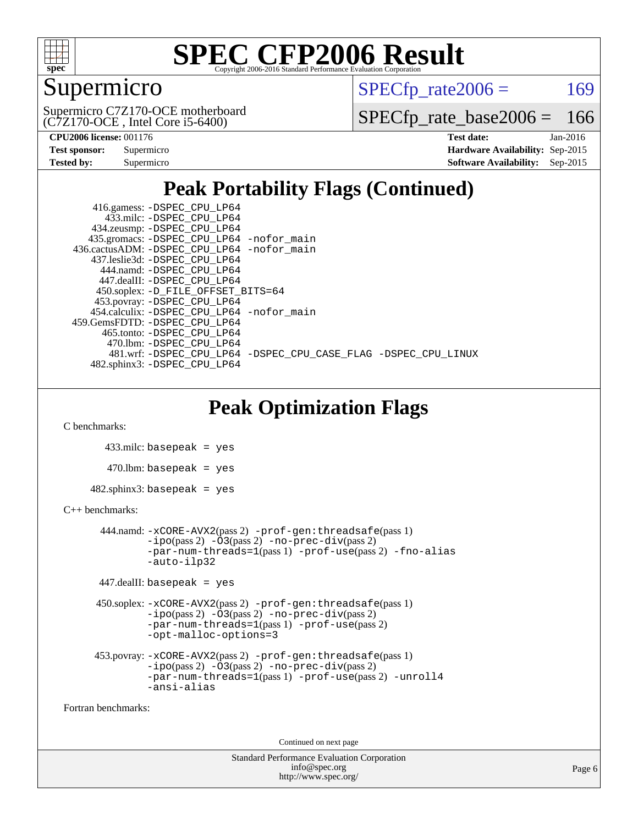

## Supermicro

 $SPECTp\_rate2006 = 169$ 

(C7Z170-OCE , Intel Core i5-6400) Supermicro C7Z170-OCE motherboard

[SPECfp\\_rate\\_base2006 =](http://www.spec.org/auto/cpu2006/Docs/result-fields.html#SPECfpratebase2006) 166

| <b>Test sponsor:</b> | Supermicro |
|----------------------|------------|
| Tested by:           | Supermicro |

**[CPU2006 license:](http://www.spec.org/auto/cpu2006/Docs/result-fields.html#CPU2006license)** 001176 **[Test date:](http://www.spec.org/auto/cpu2006/Docs/result-fields.html#Testdate)** Jan-2016 **[Hardware Availability:](http://www.spec.org/auto/cpu2006/Docs/result-fields.html#HardwareAvailability)** Sep-2015 **[Software Availability:](http://www.spec.org/auto/cpu2006/Docs/result-fields.html#SoftwareAvailability)** Sep-2015

## **[Peak Portability Flags \(Continued\)](http://www.spec.org/auto/cpu2006/Docs/result-fields.html#PeakPortabilityFlags)**

| 416.gamess: -DSPEC_CPU_LP64                                    |  |
|----------------------------------------------------------------|--|
| 433.milc: -DSPEC CPU LP64                                      |  |
| 434.zeusmp: -DSPEC_CPU_LP64                                    |  |
| 435.gromacs: -DSPEC_CPU_LP64 -nofor_main                       |  |
| 436.cactusADM: -DSPEC CPU LP64 -nofor main                     |  |
| 437.leslie3d: -DSPEC CPU LP64                                  |  |
| 444.namd: -DSPEC CPU LP64                                      |  |
| 447.dealII: -DSPEC CPU LP64                                    |  |
| 450.soplex: -D_FILE_OFFSET_BITS=64                             |  |
| 453.povray: -DSPEC_CPU_LP64                                    |  |
| 454.calculix: - DSPEC CPU LP64 - nofor main                    |  |
| 459.GemsFDTD: -DSPEC CPU LP64                                  |  |
| 465.tonto: - DSPEC CPU LP64                                    |  |
| 470.1bm: - DSPEC CPU LP64                                      |  |
| 481.wrf: -DSPEC_CPU_LP64 -DSPEC_CPU_CASE_FLAG -DSPEC_CPU_LINUX |  |
| 482.sphinx3: -DSPEC_CPU_LP64                                   |  |

## **[Peak Optimization Flags](http://www.spec.org/auto/cpu2006/Docs/result-fields.html#PeakOptimizationFlags)**

[C benchmarks](http://www.spec.org/auto/cpu2006/Docs/result-fields.html#Cbenchmarks):

```
 433.milc: basepeak = yes
   470.lbm: basepeak = yes
482.sphinx3: basepeak = yes
```
#### [C++ benchmarks:](http://www.spec.org/auto/cpu2006/Docs/result-fields.html#CXXbenchmarks)

```
 444.namd: -xCORE-AVX2(pass 2) -prof-gen:threadsafe(pass 1)
       -no-prec-div(pass 2)-par-num-threads=1(pass 1) -prof-use(pass 2) -fno-alias
       -auto-ilp32
```

```
 447.dealII: basepeak = yes
```

```
 450.soplex: -xCORE-AVX2(pass 2) -prof-gen:threadsafe(pass 1)
          -i\text{po}(pass 2) -\overset{\sim}{O}3(pass 2)-no-prec-div(pass 2)
          -par-num-threads=1(pass 1) -prof-use(pass 2)
          -opt-malloc-options=3
```

```
 453.povray: -xCORE-AVX2(pass 2) -prof-gen:threadsafe(pass 1)
          -ipo(pass 2) -O3(pass 2) -no-prec-div(pass 2)
          -par-num-threads=1(pass 1) -prof-use(pass 2) -unroll4
          -ansi-alias
```
[Fortran benchmarks](http://www.spec.org/auto/cpu2006/Docs/result-fields.html#Fortranbenchmarks):

Continued on next page

```
Standard Performance Evaluation Corporation
             info@spec.org
           http://www.spec.org/
```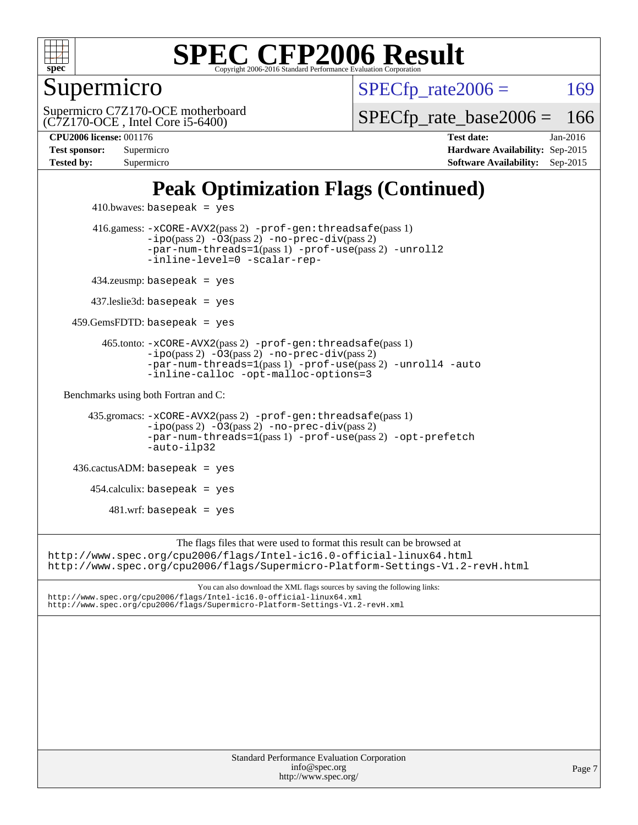

Supermicro

 $SPECTp\_rate2006 = 169$ 

(C7Z170-OCE , Intel Core i5-6400) Supermicro C7Z170-OCE motherboard [SPECfp\\_rate\\_base2006 =](http://www.spec.org/auto/cpu2006/Docs/result-fields.html#SPECfpratebase2006) 166

**[CPU2006 license:](http://www.spec.org/auto/cpu2006/Docs/result-fields.html#CPU2006license)** 001176 **[Test date:](http://www.spec.org/auto/cpu2006/Docs/result-fields.html#Testdate)** Jan-2016 **[Test sponsor:](http://www.spec.org/auto/cpu2006/Docs/result-fields.html#Testsponsor)** Supermicro **[Hardware Availability:](http://www.spec.org/auto/cpu2006/Docs/result-fields.html#HardwareAvailability)** Sep-2015 **[Tested by:](http://www.spec.org/auto/cpu2006/Docs/result-fields.html#Testedby)** Supermicro **Supermicro [Software Availability:](http://www.spec.org/auto/cpu2006/Docs/result-fields.html#SoftwareAvailability)** Sep-2015

## **[Peak Optimization Flags \(Continued\)](http://www.spec.org/auto/cpu2006/Docs/result-fields.html#PeakOptimizationFlags)**

```
410.bwaves: basepeak = yes 416.gamess: -xCORE-AVX2(pass 2) -prof-gen:threadsafe(pass 1)
                 -no-prec-div(pass 2)-par-num-threads=1(pass 1) -prof-use(pass 2) -unroll2
                 -inline-level=0 -scalar-rep-
        434.zeusmp: basepeak = yes
        437.leslie3d: basepeak = yes
     459.GemsFDTD: basepeak = yes
          465.tonto: -xCORE-AVX2(pass 2) -prof-gen:threadsafe(pass 1)
                 -no-prec-div(pass 2)-par-num-threads=1(pass 1) -prof-use(pass 2) -unroll4 -auto
                 -inline-calloc -opt-malloc-options=3
  Benchmarks using both Fortran and C: 
       435.gromacs: -xCORE-AVX2(pass 2) -prof-gen:threadsafe(pass 1)
                 -no-prec-div(pass 2)-par-num-threads=1(pass 1) -prof-use(pass 2) -opt-prefetch
                 -auto-ilp32
     436.cactusADM: basepeak = yes
       454.calculix: basepeak = yes
          481.wrf: basepeak = yes
                      The flags files that were used to format this result can be browsed at
http://www.spec.org/cpu2006/flags/Intel-ic16.0-official-linux64.html
http://www.spec.org/cpu2006/flags/Supermicro-Platform-Settings-V1.2-revH.html
```
You can also download the XML flags sources by saving the following links: <http://www.spec.org/cpu2006/flags/Intel-ic16.0-official-linux64.xml> <http://www.spec.org/cpu2006/flags/Supermicro-Platform-Settings-V1.2-revH.xml>